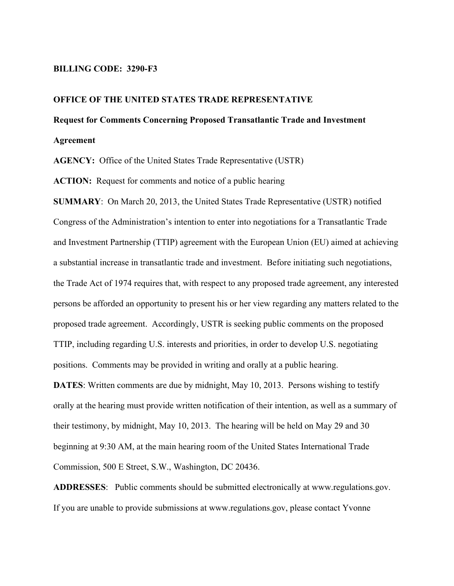#### **BILLING CODE: 3290-F3**

### **OFFICE OF THE UNITED STATES TRADE REPRESENTATIVE**

# **Request for Comments Concerning Proposed Transatlantic Trade and Investment Agreement**

**AGENCY:** Office of the United States Trade Representative (USTR)

**ACTION:** Request for comments and notice of a public hearing

**SUMMARY**: On March 20, 2013, the United States Trade Representative (USTR) notified Congress of the Administration's intention to enter into negotiations for a Transatlantic Trade and Investment Partnership (TTIP) agreement with the European Union (EU) aimed at achieving a substantial increase in transatlantic trade and investment. Before initiating such negotiations, the Trade Act of 1974 requires that, with respect to any proposed trade agreement, any interested persons be afforded an opportunity to present his or her view regarding any matters related to the proposed trade agreement. Accordingly, USTR is seeking public comments on the proposed TTIP, including regarding U.S. interests and priorities, in order to develop U.S. negotiating positions. Comments may be provided in writing and orally at a public hearing.

**DATES**: Written comments are due by midnight, May 10, 2013. Persons wishing to testify orally at the hearing must provide written notification of their intention, as well as a summary of their testimony, by midnight, May 10, 2013. The hearing will be held on May 29 and 30 beginning at 9:30 AM, at the main hearing room of the United States International Trade Commission, 500 E Street, S.W., Washington, DC 20436.

**ADDRESSES**: Public comments should be submitted electronically at www.regulations.gov. If you are unable to provide submissions at www.regulations.gov, please contact Yvonne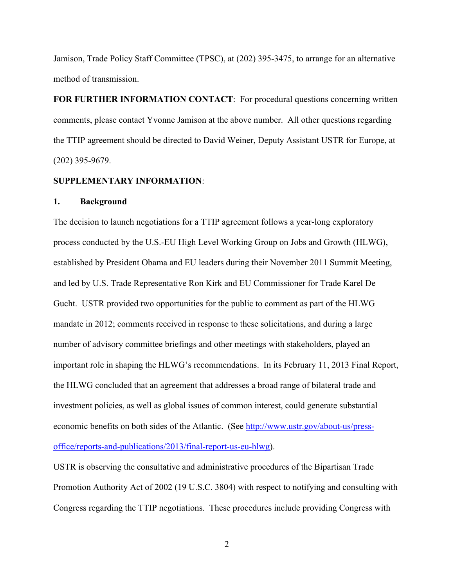Jamison, Trade Policy Staff Committee (TPSC), at (202) 395-3475, to arrange for an alternative method of transmission.

**FOR FURTHER INFORMATION CONTACT**: For procedural questions concerning written comments, please contact Yvonne Jamison at the above number. All other questions regarding the TTIP agreement should be directed to David Weiner, Deputy Assistant USTR for Europe, at (202) 395-9679.

#### **SUPPLEMENTARY INFORMATION**:

#### **1. Background**

The decision to launch negotiations for a TTIP agreement follows a year-long exploratory process conducted by the U.S.-EU High Level Working Group on Jobs and Growth (HLWG), established by President Obama and EU leaders during their November 2011 Summit Meeting, and led by U.S. Trade Representative Ron Kirk and EU Commissioner for Trade Karel De Gucht. USTR provided two opportunities for the public to comment as part of the HLWG mandate in 2012; comments received in response to these solicitations, and during a large number of advisory committee briefings and other meetings with stakeholders, played an important role in shaping the HLWG's recommendations. In its February 11, 2013 Final Report, the HLWG concluded that an agreement that addresses a broad range of bilateral trade and investment policies, as well as global issues of common interest, could generate substantial economic benefits on both sides of the Atlantic. (See http://www.ustr.gov/about-us/pressoffice/reports-and-publications/2013/final-report-us-eu-hlwg).

USTR is observing the consultative and administrative procedures of the Bipartisan Trade Promotion Authority Act of 2002 (19 U.S.C. 3804) with respect to notifying and consulting with Congress regarding the TTIP negotiations. These procedures include providing Congress with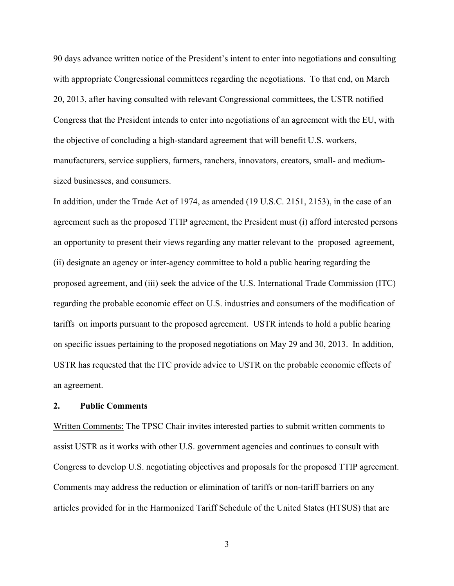90 days advance written notice of the President's intent to enter into negotiations and consulting with appropriate Congressional committees regarding the negotiations. To that end, on March 20, 2013, after having consulted with relevant Congressional committees, the USTR notified Congress that the President intends to enter into negotiations of an agreement with the EU, with the objective of concluding a high-standard agreement that will benefit U.S. workers, manufacturers, service suppliers, farmers, ranchers, innovators, creators, small- and mediumsized businesses, and consumers.

In addition, under the Trade Act of 1974, as amended (19 U.S.C. 2151, 2153), in the case of an agreement such as the proposed TTIP agreement, the President must (i) afford interested persons an opportunity to present their views regarding any matter relevant to the proposed agreement, (ii) designate an agency or inter-agency committee to hold a public hearing regarding the proposed agreement, and (iii) seek the advice of the U.S. International Trade Commission (ITC) regarding the probable economic effect on U.S. industries and consumers of the modification of tariffs on imports pursuant to the proposed agreement. USTR intends to hold a public hearing on specific issues pertaining to the proposed negotiations on May 29 and 30, 2013. In addition, USTR has requested that the ITC provide advice to USTR on the probable economic effects of an agreement.

# **2. Public Comments**

Written Comments: The TPSC Chair invites interested parties to submit written comments to assist USTR as it works with other U.S. government agencies and continues to consult with Congress to develop U.S. negotiating objectives and proposals for the proposed TTIP agreement. Comments may address the reduction or elimination of tariffs or non-tariff barriers on any articles provided for in the Harmonized Tariff Schedule of the United States (HTSUS) that are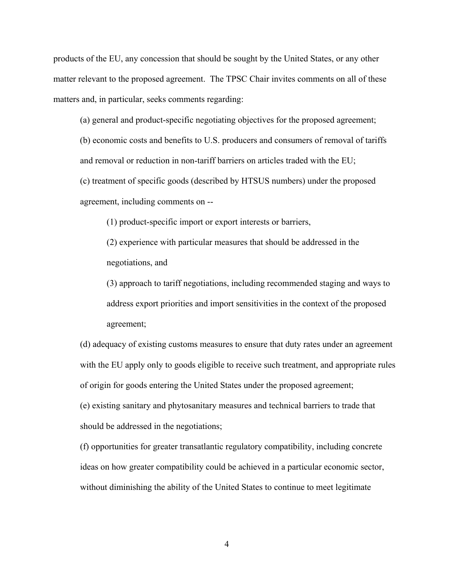products of the EU, any concession that should be sought by the United States, or any other matter relevant to the proposed agreement. The TPSC Chair invites comments on all of these matters and, in particular, seeks comments regarding:

(a) general and product-specific negotiating objectives for the proposed agreement;

 (b) economic costs and benefits to U.S. producers and consumers of removal of tariffs and removal or reduction in non-tariff barriers on articles traded with the EU;

 (c) treatment of specific goods (described by HTSUS numbers) under the proposed agreement, including comments on --

(1) product-specific import or export interests or barriers,

 (2) experience with particular measures that should be addressed in the negotiations, and

 (3) approach to tariff negotiations, including recommended staging and ways to address export priorities and import sensitivities in the context of the proposed agreement;

 (d) adequacy of existing customs measures to ensure that duty rates under an agreement with the EU apply only to goods eligible to receive such treatment, and appropriate rules of origin for goods entering the United States under the proposed agreement;

 (e) existing sanitary and phytosanitary measures and technical barriers to trade that should be addressed in the negotiations;

(f) opportunities for greater transatlantic regulatory compatibility, including concrete ideas on how greater compatibility could be achieved in a particular economic sector, without diminishing the ability of the United States to continue to meet legitimate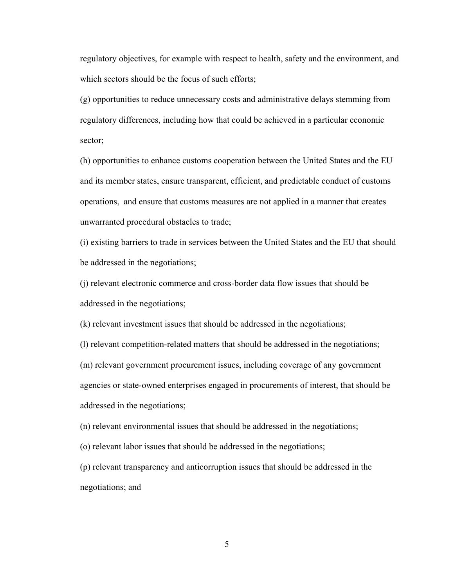regulatory objectives, for example with respect to health, safety and the environment, and which sectors should be the focus of such efforts;

(g) opportunities to reduce unnecessary costs and administrative delays stemming from regulatory differences, including how that could be achieved in a particular economic sector;

(h) opportunities to enhance customs cooperation between the United States and the EU and its member states, ensure transparent, efficient, and predictable conduct of customs operations, and ensure that customs measures are not applied in a manner that creates unwarranted procedural obstacles to trade;

 (i) existing barriers to trade in services between the United States and the EU that should be addressed in the negotiations;

 (j) relevant electronic commerce and cross-border data flow issues that should be addressed in the negotiations;

(k) relevant investment issues that should be addressed in the negotiations;

 (l) relevant competition-related matters that should be addressed in the negotiations; (m) relevant government procurement issues, including coverage of any government agencies or state-owned enterprises engaged in procurements of interest, that should be addressed in the negotiations;

(n) relevant environmental issues that should be addressed in the negotiations;

(o) relevant labor issues that should be addressed in the negotiations;

 (p) relevant transparency and anticorruption issues that should be addressed in the negotiations; and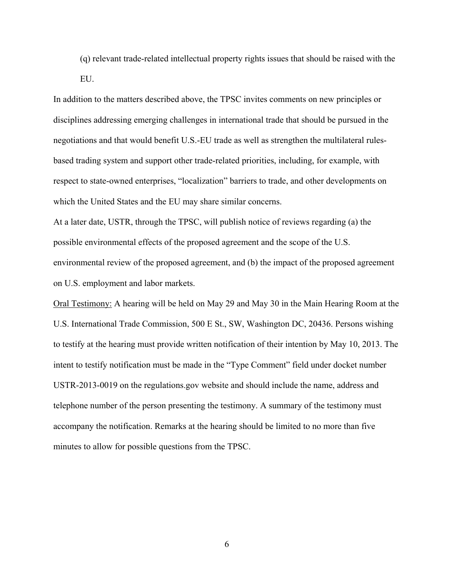(q) relevant trade-related intellectual property rights issues that should be raised with the EU.

In addition to the matters described above, the TPSC invites comments on new principles or disciplines addressing emerging challenges in international trade that should be pursued in the negotiations and that would benefit U.S.-EU trade as well as strengthen the multilateral rulesbased trading system and support other trade-related priorities, including, for example, with respect to state-owned enterprises, "localization" barriers to trade, and other developments on which the United States and the EU may share similar concerns.

At a later date, USTR, through the TPSC, will publish notice of reviews regarding (a) the possible environmental effects of the proposed agreement and the scope of the U.S. environmental review of the proposed agreement, and (b) the impact of the proposed agreement on U.S. employment and labor markets.

Oral Testimony: A hearing will be held on May 29 and May 30 in the Main Hearing Room at the U.S. International Trade Commission, 500 E St., SW, Washington DC, 20436. Persons wishing to testify at the hearing must provide written notification of their intention by May 10, 2013. The intent to testify notification must be made in the "Type Comment" field under docket number USTR-2013-0019 on the regulations.gov website and should include the name, address and telephone number of the person presenting the testimony. A summary of the testimony must accompany the notification. Remarks at the hearing should be limited to no more than five minutes to allow for possible questions from the TPSC.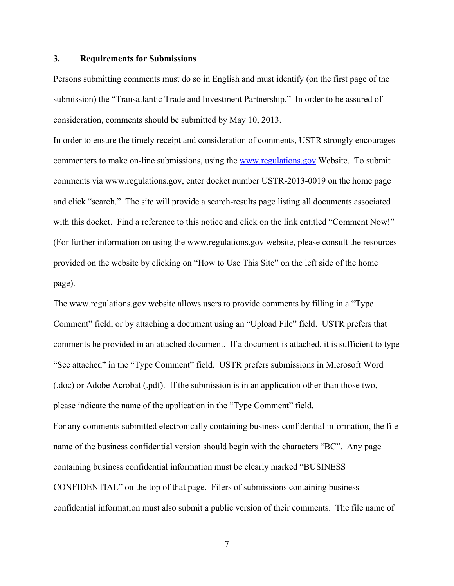# **3. Requirements for Submissions**

Persons submitting comments must do so in English and must identify (on the first page of the submission) the "Transatlantic Trade and Investment Partnership." In order to be assured of consideration, comments should be submitted by May 10, 2013.

In order to ensure the timely receipt and consideration of comments, USTR strongly encourages commenters to make on-line submissions, using the www.regulations.gov Website. To submit comments via www.regulations.gov, enter docket number USTR-2013-0019 on the home page and click "search." The site will provide a search-results page listing all documents associated with this docket. Find a reference to this notice and click on the link entitled "Comment Now!" (For further information on using the www.regulations.gov website, please consult the resources provided on the website by clicking on "How to Use This Site" on the left side of the home page).

The www.regulations.gov website allows users to provide comments by filling in a "Type Comment" field, or by attaching a document using an "Upload File" field. USTR prefers that comments be provided in an attached document. If a document is attached, it is sufficient to type "See attached" in the "Type Comment" field. USTR prefers submissions in Microsoft Word (.doc) or Adobe Acrobat (.pdf). If the submission is in an application other than those two, please indicate the name of the application in the "Type Comment" field. For any comments submitted electronically containing business confidential information, the file name of the business confidential version should begin with the characters "BC". Any page containing business confidential information must be clearly marked "BUSINESS CONFIDENTIAL" on the top of that page. Filers of submissions containing business confidential information must also submit a public version of their comments. The file name of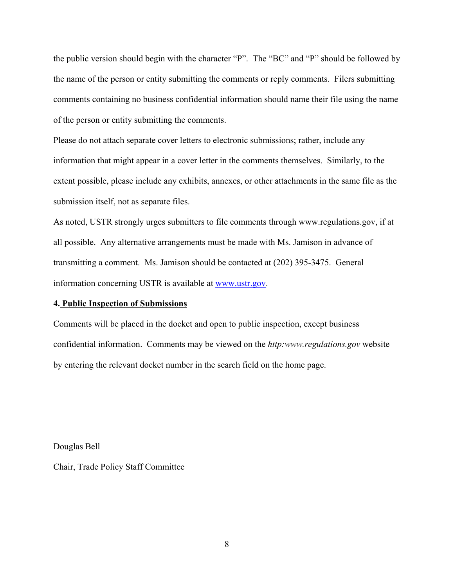the public version should begin with the character "P". The "BC" and "P" should be followed by the name of the person or entity submitting the comments or reply comments. Filers submitting comments containing no business confidential information should name their file using the name of the person or entity submitting the comments.

Please do not attach separate cover letters to electronic submissions; rather, include any information that might appear in a cover letter in the comments themselves. Similarly, to the extent possible, please include any exhibits, annexes, or other attachments in the same file as the submission itself, not as separate files.

As noted, USTR strongly urges submitters to file comments through www.regulations.gov, if at all possible. Any alternative arrangements must be made with Ms. Jamison in advance of transmitting a comment. Ms. Jamison should be contacted at (202) 395-3475. General information concerning USTR is available at www.ustr.gov.

# **4. Public Inspection of Submissions**

Comments will be placed in the docket and open to public inspection, except business confidential information. Comments may be viewed on the *http:www.regulations.gov* website by entering the relevant docket number in the search field on the home page.

Douglas Bell

Chair, Trade Policy Staff Committee